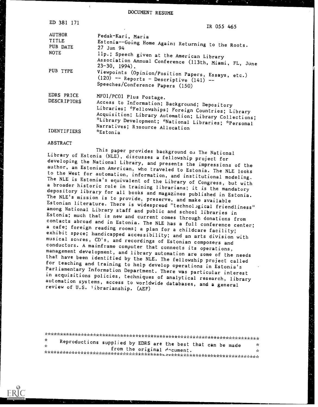DOCUMENT RESUME

| ED 381 171                                        | IR 055 465                                                                                                                                                                                                                                                                          |
|---------------------------------------------------|-------------------------------------------------------------------------------------------------------------------------------------------------------------------------------------------------------------------------------------------------------------------------------------|
| <b>AUTHOR</b><br>TITLE<br>PUB DATE<br><b>NOTE</b> | Pedak-Kari, Maria<br>Estonia--Going Home Again: Returning to the Roots.<br>27 Jun 94                                                                                                                                                                                                |
|                                                   | 11p.; Speech given at the American Library<br>Association Annual Conference (113th, Miami, FL, June<br>$23 - 30$ , 1994).                                                                                                                                                           |
| PUB TYPE                                          | Viewpoints (Opinion/Position Papers, Essays, etc.)<br>$(120)$ -- Reports - Descriptive $(141)$ --<br>Speeches/Conference Papers (150)                                                                                                                                               |
| EDRS PRICE<br><b>DESCRIPTORS</b>                  | MF01/PC01 Plus Postage.<br>Access to Information; Background; Depository<br>Libraries; *Fellowships; Foreign Countries; Library<br>Acquisition; Library Automation; Library Collections;<br>*Library Development; *National Libraries; *Personal<br>Narratives; Resource Allocation |
| <b>IDENTIFIERS</b>                                | *Estonia                                                                                                                                                                                                                                                                            |

#### ABSTRACT

 $\mathbf{r}$ 

Inis paper provides background on The National<br>Library of Estonia (NLE), discusses a fellowship project for<br>developing the National Library, and presents the impressions of the<br>author, an Estonian American, who traveled to among National Library staff and public and school libraries in<br>Estonia; much that is new and current comes through donations from<br>contacts abroad and in Estonia. The NLE has a full conference center;<br>a cafe; foreign readi

 $^{\star}$  Reproductions such is the productions such in the production  $\sim$ Reproductions supplied by EDRS are the best that can be made  $\frac{x}{x}$  $\mathbf{x}$ from the original document.  $\mathbf{r}$ \*\*\*\*\*\*\*\*\*\*\*\*\*\*\*\*\*\*\*\*\*\*\*\*\*\*\*\*\*\*\*\*\*\*\*\*\*\*\*uAn\*\*\*\*\*\*\*\*\*\*\*\*\*\*\*\*\*\*\*\*\*\*\*\*\*\*\*\*\*

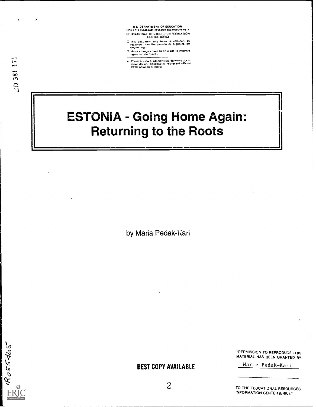U.S. DEPARTMENT OF EDUCAVION<br>Office of Educational Research and improvement EDUCATIONAL RE SOURCES INFORMATION CENTER (ERIC)

- O This document has been reproduced as received from the perSOn Or Organization originating d
- Minor changes have been made to improve reproductiOn quality
- Points of view or opinions stated in this clocu<br>ment (do inot inecessarily represent official<br>OERI position or policy

# ESTONIA - Going Home Again: Returning to the Roots

by Maria Pedak-Kari



"PERMISSION TO REPRODUCE THIS MATERIAL HAS BEEN GRANTED BY

Marie Pedak-Kari

2

BEST COPY AVAILABLE

TO THE EDUCATIONAL RESOURCES INFORMATION CENTER (ERIC)."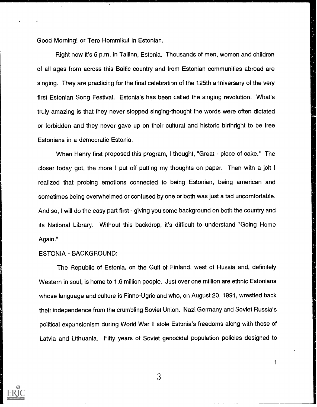Good Morning! or Tere Hommikut in Estonian.

Right now it's 5 p.m. in Tallinn, Estonia. Thousands of men, women and children of all ages from across this Baltic country and from Estonian communities abroad are singing. They are practicing for the final celebration of the 125th anniversary of the very first Estonian Song Festival. Estonia's has been called the singing revolution. What's truly amazing is that they never stopped singing-thought the words were often dictated or forbidden and they never gave up on their cultural and historic birthright to be free Estonians in a democratic Estonia.

When Henry first proposed this program, I thought, "Great - piece of cake." The closer today got, the more I put off putting my thoughts on paper. Then with a jolt <sup>I</sup> realized that probing emotions connected to being Estonian, being american and sometimes being overwhelmed or confused by one or both was just a tad uncomfortable. And so, I will do the easy part first - giving you some background on both the country and its National Library. Without this backdrop, it's difficult to understand "Going Home Again."

# ESTONIA - BACKGROUND:

The Republic of Estonia, on the Gulf of Finland, west of Russia and, definitely Western in soul, is home to 1.6 million people. Just over one million are ethnic Estonians whose language and culture is Finno-Ugric and who, on August 20, 1991, wrestled back their independence from the crumbling Soviet Union. Nazi Germany and Soviet Russia's political expansionism during World War II stole Estonia's freedoms along with those of Latvia and Lithuania. Fifty years of Soviet genocidal population policies designed to



3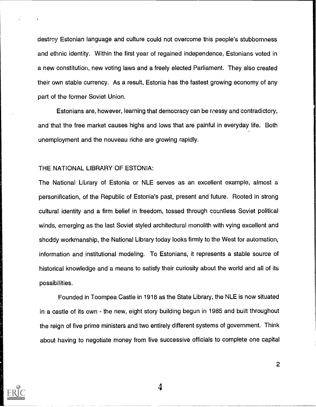destroy Estonian language and culture could not overcome this people's stubbornness and ethnic identity. Within the first year of regained independence, Estonians voted in a new constitution, new voting laws and a freely elected Parliament. They also created their own stable currency. As a result, Estonia has the fastest growing economy of any part of the former Soviet Union.

Estonians are, however, learning that democracy can be messy and contradictory, and that the free market causes highs and lows that are painful in everyday life. Both unemployment and the nouveau riche are growing rapidly.

## THE NATIONAL LIBRARY OF ESTONIA:

The National Library of Estonia or NLE serves as an excellent example, almost a personification, of the Republic of Estonia's past, present and future. Rooted in strong cultural iaentity and a firm belief in freedom, tossed through countless Soviet political winds, emerging as the last Soviet styled architectural monolith with vying excellent and shoddy workmanship, the National Library today looks firmly to the West for automation, information and institutional modeling. To Estonians, it represents a stable source of historical knowledge and a means to satisfy their curiosity about the world and all of its possibilities.

Founded in Toornpea Castle in 1918 as the State Library, the NLE is now situated in a castle of its own - the new, eight story building begun in 1985 and built throughout the reign of five prime ministers and two entirely different systems of government. Think about having to negotiate money from five successive officials to complete one capital

4

 $\overline{2}$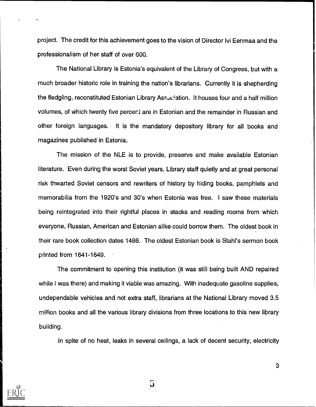project. The credit for this achievement goes to the vision of Director Ivi Eenmaa and the professionalism of her staff of over 600.

The National Library is Estonia's equivalent of the Library of Congress, but with a much broader historic role in training the nation's librarians. Currently it is shepherding the fledgling, reconstituted Estonian Library Association. It houses four and a half million volumes, of which twenty five percert are in Estonian and the remainder in Russian and other foreign languages. It is the mandatory depository library for all books and magazines published in Estonia.

The mission of the NLE is to provide, preserve and make available Estonian literature. Even during the worst Soviet years, Library staff quietly and at great personal risk thwarted Soviet censors and rewriters of history by hiding books, pamphlets and memorabilia from the 1920's and 30's when Estonia was free. i saw these materials being reintegrated into their rightful places in stacks and reading rooms from which everyone, Russian, American and Estonian alike could borrow them. The oldest book in their rare book collection dates 1486. The oldest Estonian book is Stahl's sermon book printed from 1641-1649.

The commitment to opening this institution (it was still being built AND repaired while I was there) and making it viable was amazing. With inadequate gasoline supplies, undependable vehicles and not extra staff, librarians at the National Library moved 3.5 million books and all the various library divisions from three locations to this new library building.

In spite of no heat, leaks in several ceilings, a lack of decent security, electricity



 $\overline{5}$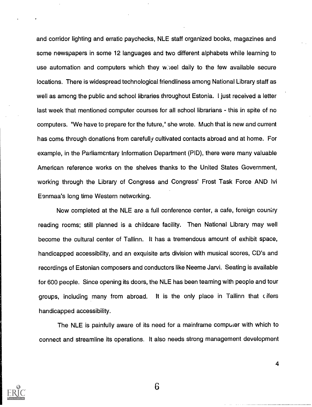and corridor lighting and erratic paychecks, NLE staff organized books, magazines and some newspapers in some 12 languages and two different alphabets while learning to use automation and computers which they wheel daily to the few available secure locations. There is widespread technological friendliness among National Library staff as well as among the public and school libraries throughout Estonia. I just received a letter last week that mentioned computer courses for all school librarians - this in spite of no computers. "We have to prepare for the future," she wrote. Much that is new and current has come through donations from carefully cultivated contacts abroad and at home. For example, in the Parliamentary Information Department (PID), there were many valuable American reference works on the shelves thanks to the United States Government, working through the Library of Congress and Congress' Frost Task Force AND Ivi Eenmaa's long time Western networking.

Now completed at the NLE are a full conference center, a cafe, foreign country reading rooms; still planned is a childcare facility. Then National Library may well become the cultural center of Tallinn. It has a tremendous amount of exhibit space, handicapped accessibility, and an exquisite arts division with musical scores, CD's and recordings of Estonian composers and conductors like Neeme Jarvi. Seating is available for 600 people. Since opening its doors, the NLE has been teaming with people and tour groups, including many from abroad. It is the only place in Tallinn that c fifers handicapped accessibility.

The NLE is painfully aware of its need for a mainframe computer with which to connect and streamline its operations. It also needs strong management development

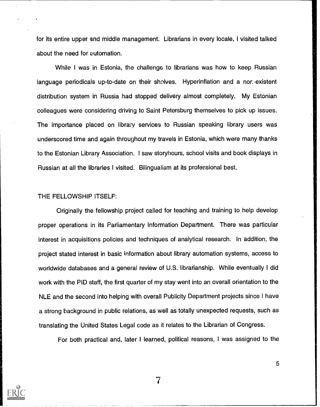for its entire upper and middle management. Librarians in every locale, I visited talked about the need for automation.

While I was in Estonia, the challenge to librarians was how to keep Russian language periodicals up-to-date on their sholves. Hyperinflation and a nor. existent distribution system in Russia had stopped delivery almost completely. My Estonian colleagues were considering driving to Saint Petersburg themselves to pick up issues. The importance placed on library services to Russian speaking library users was underscored time and again throughout my travels in Estonia, which were many thanks to the Estonian Library Association. I saw storyhours, school visits and book displays in Russian at all the libraries I visited. Bilingualism at its professional best.

### THE FELLOWSHIP ITSELF:

Originally the fellowship project called for teaching and training to help develop proper operations in its Parliamentary Information Department. There was particular interest in acquisitions policies and techniques of analytical research. In addition, the project stated interest in basic information about library automation systems, access to worldwide databases and a general review of U.S. librarianship. While eventually I did work with the PID staff, the first quarter of my stay went into an overall orientation to the NLE and the second into helping with overall Publicity Department projects since I have a strong background in public relations, as well as totally unexpected requests, such as translating the United States Legal code as it relates to the Librarian of Congress.

For both practical and, later I learned, political reasons, I was assigned to the

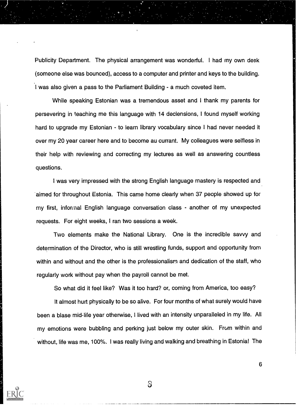Publicity Department. The physical arrangement was wonderful. I had my own desk (someone else was bounced), access to a computer and printer and keys to the building. I was also given a pass to the Parliament Building - a much coveted item.

While speaking Estonian was a tremendous asset and I thank my parents for persevering in teaching me this language with 14 declensions, I found myself working hard to upgrade my Estonian - to learn library vocabulary since I had never needed it over my 20 year career here and to become au currant. My colleagues were selfless in their help with reviewing and correcting my lectures as well as answering countless questions.

I was very impressed with the strong English language mastery is respected and 'aimed for throughout Estonia. This came home clearly when 37 people showed up for my first, informal English language conversation class - another of my unexpected requests. For eight weeks, I ran two sessions a week.

Two elements make the National Library. One is the incredible savvy and determination of the Director, who is still wrestling funds, support and opportunity from within and without and the other is the professionalism and dedication of the staff, who regularly work without pay when the payroll cannot be met.

So what did it feel like? Was it too hard? or, coming from America, too easy?

It almost hurt physically to be so alive. For four months of what surely would have been a blase mid-life year otherwise, I lived with an intensity unparalleled in my life. All my emotions were bubbling and perking just below my outer skin. From within and without, life was me, 100%. I was really living and walking and breathing in Estonia! The



3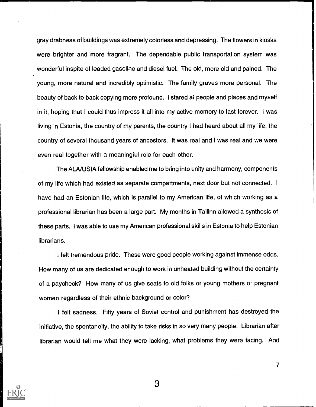gray drabness of buildings was extremely colorless and depressing. The flowers in kiosks were brighter and more fragrant. The dependable public transportation system was wonderful inspite of leaded gasoline and diesel fuel. The old, more old and pained. The young, more natural and incredibly optimistic. The family graves more personal. The beauty of back to back copying more profound. I stared at people and places and myself in it, hoping that I could thus impress it all into my active memory to last forever. I was living in Estonia, the country of my parents, the country I had heard about all my life, the country of several thousand years of ancestors. It was real and I was real and we were even real together with a meaningful role for each other.

The ALA/USIA fellowship enabled me to bring into unity and harmony, components of my life which had existed as separate compartments, next door but not connected. <sup>I</sup> have had an Estonian life, which is parallel to my American life, of which working as a professional librarian has been a large part. My months in Tallinn allowed a synthesis of these parts. I was able to use my American professional skills in Estonia to help Estonian librarians.

I felt tremendous pride. These were good people working against immense odds. How many of us are dedicated enough to work in unheated building without the certainty of a paycheck? How many of us give seats to old folks or young mothers or pregnant women regardless of their ethnic background or color?

<sup>I</sup> felt sadness. Fifty years of Soviet control and punishment has destroyed the initiative, the spontaneity, the ability to take risks in so very many people. Librarian after librarian would tell me what they were lacking, what problems they were facing. And

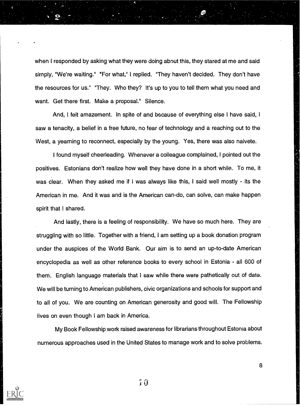when I responded by asking what they were doing about this, they stared at me and said simply, "We're waiting." "For what," I replied. "They haven't decided. They don't have the resources for us." "They. Who they? It's up to you to tell them what you need and want. Get there first. Make a proposal." Silence.

And, I felt amazement. In spite of and because of everything else I have said, I saw a tenacity, a belief in a free future, no fear of technology and a reaching out to the West, a yearning to reconnect, especially by the young. Yes, there was also naivete.

I found myself cheerleading. Whenever a colleague complained, I pointed out the positives. Estonians don't realize how well they have done in a short while. To me, it was clear. When they asked me if i was always like this, I said well mostly - its the American in me. And it was and is the American can-do, can solve, can make happen spirit that I shared.

And lastly, there is a feeling of responsibility. We have so much here. They are struggling with so little. Together with a friend, I am setting up a book donation program under the auspices of the World Bank. Our aim is to send an up-to-date American encyclopedia as well as other reference books to every school in Estonia - all 600 of them. English language materials that I saw while there were pathetically out of date. We will be turning to American publishers, civic organizations and schools for support and to all of you. We are counting on American generosity and good will. The Fellowship lives on even though i am back in America.

My Book Fellowship work raised awareness for librarians throughout Estonia about numerous approaches used in the United States to manage work and to solve problems.

"1' 0